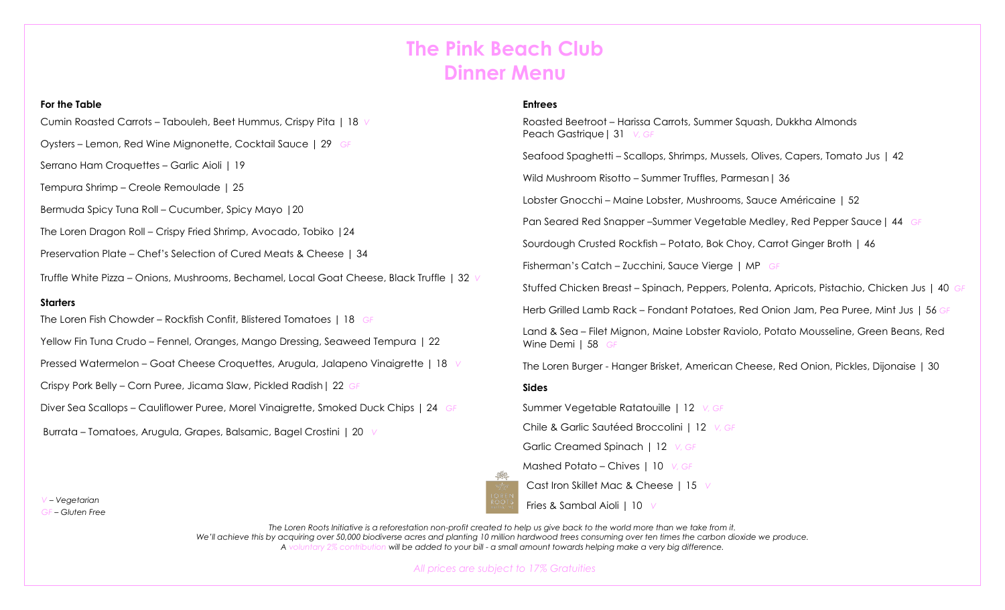# **The Pink Beach Club Dinner Menu**

#### **For the Table**

Cumin Roasted Carrots – Tabouleh, Beet Hummus, Crispy Pita | 18 *V*

Oysters – Lemon, Red Wine Mignonette, Cocktail Sauce | 29 *GF*

Serrano Ham Croquettes – Garlic Aioli | 19

Tempura Shrimp – Creole Remoulade | 25

Bermuda Spicy Tuna Roll – Cucumber, Spicy Mayo |20

The Loren Dragon Roll – Crispy Fried Shrimp, Avocado, Tobiko |24

Preservation Plate – Chef's Selection of Cured Meats & Cheese | 34

Truffle White Pizza – Onions, Mushrooms, Bechamel, Local Goat Cheese, Black Truffle | 32 *V*

### **Starters**

The Loren Fish Chowder – Rockfish Confit, Blistered Tomatoes | 18 *GF*

Yellow Fin Tuna Crudo – Fennel, Oranges, Mango Dressing, Seaweed Tempura | 22

Pressed Watermelon – Goat Cheese Croquettes, Arugula, Jalapeno Vinaigrette | 18 *V*

Crispy Pork Belly – Corn Puree, Jicama Slaw, Pickled Radish| 22 *GF*

Diver Sea Scallops – Cauliflower Puree, Morel Vinaigrette, Smoked Duck Chips | 24 *GF*

Burrata – Tomatoes, Arugula, Grapes, Balsamic, Bagel Crostini | 20 *V*

## **Entrees**

Roasted Beetroot – Harissa Carrots, Summer Squash, Dukkha Almonds Peach Gastrique| 31 *V, GF*

Seafood Spaghetti – Scallops, Shrimps, Mussels, Olives, Capers, Tomato Jus | 42

Wild Mushroom Risotto – Summer Truffles, Parmesan | 36

Lobster Gnocchi – Maine Lobster, Mushrooms, Sauce Américaine | 52

Pan Seared Red Snapper –Summer Vegetable Medley, Red Pepper Sauce| 44 *GF*

Sourdough Crusted Rockfish – Potato, Bok Choy, Carrot Ginger Broth | 46

Fisherman's Catch – Zucchini, Sauce Vierge | MP *GF*

Stuffed Chicken Breast – Spinach, Peppers, Polenta, Apricots, Pistachio, Chicken Jus | 40 *GF*

Herb Grilled Lamb Rack – Fondant Potatoes, Red Onion Jam, Pea Puree, Mint Jus | 56 *GF*

Land & Sea – Filet Mignon, Maine Lobster Raviolo, Potato Mousseline, Green Beans, Red Wine Demi | 58 *GF*

The Loren Burger - Hanger Brisket, American Cheese, Red Onion, Pickles, Dijonaise | 30

#### **Sides**

Summer Vegetable Ratatouille | 12 *V, GF*

Chile & Garlic Sautéed Broccolini | 12 *V, GF*

Garlic Creamed Spinach | 12 *V, GF*

Mashed Potato – Chives | 10 *V, GF*

Cast Iron Skillet Mac & Cheese | 15 *V*

Fries & Sambal Aioli | 10 *V*

*The Loren Roots Initiative is a reforestation non-profit created to help us give back to the world more than we take from it. We'll achieve this by acquiring over 50,000 biodiverse acres and planting 10 million hardwood trees consuming over ten times the carbon dioxide we produce. A voluntary 2% contribution will be added to your bill - a small amount towards helping make a very big difference.*

*All prices are subject to 17% Gratuities*

*V – Vegetarian*

*GF – Gluten Free*